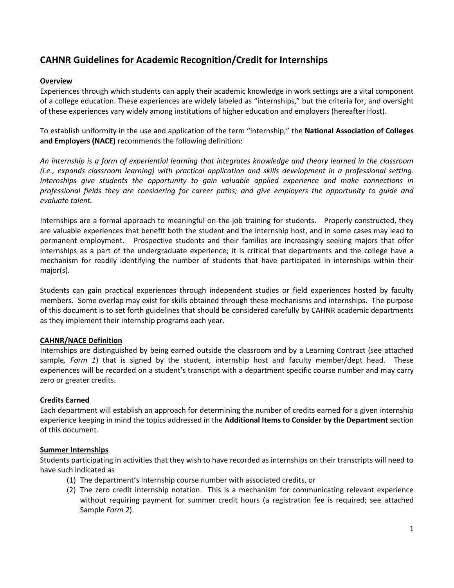# **CAHNR Guidelines for Academic Recognition/Credit for Internships**

## **Overview**

Experiences through which students can apply their academic knowledge in work settings are a vital component of a college education. These experiences are widely labeled as "internships," but the criteria for, and oversight of these experiences vary widely among institutions of higher education and employers (hereafter Host).

To establish uniformity in the use and application of the term "internship," the **National Association of Colleges and Employers (NACE)** recommends the following definition:

*An internship is a form of experiential learning that integrates knowledge and theory learned in the classroom (i.e., expands classroom learning) with practical application and skills development in a professional setting. Internships give students the opportunity to gain valuable applied experience and make connections in professional fields they are considering for career paths; and give employers the opportunity to guide and evaluate talent.*

Internships are a formal approach to meaningful on-the-job training for students. Properly constructed, they are valuable experiences that benefit both the student and the internship host, and in some cases may lead to permanent employment. Prospective students and their families are increasingly seeking majors that offer internships as a part of the undergraduate experience; it is critical that departments and the college have a mechanism for readily identifying the number of students that have participated in internships within their major(s).

Students can gain practical experiences through independent studies or field experiences hosted by faculty members. Some overlap may exist for skills obtained through these mechanisms and internships. The purpose of this document is to set forth guidelines that should be considered carefully by CAHNR academic departments as they implement their internship programs each year.

#### **CAHNR/NACE Definition**

Internships are distinguished by being earned outside the classroom and by a Learning Contract (see attached sample*, Form 1*) that is signed by the student, internship host and faculty member/dept head. These experiences will be recorded on a student's transcript with a department specific course number and may carry zero or greater credits.

#### **Credits Earned**

Each department will establish an approach for determining the number of credits earned for a given internship experience keeping in mind the topics addressed in the **Additional Items to Consider by the Department** section of this document.

#### **Summer Internships**

Students participating in activities that they wish to have recorded as internships on their transcripts will need to have such indicated as

- (1) The department's Internship course number with associated credits, or
- (2) The zero credit internship notation. This is a mechanism for communicating relevant experience without requiring payment for summer credit hours (a registration fee is required; see attached Sample *Form 2*).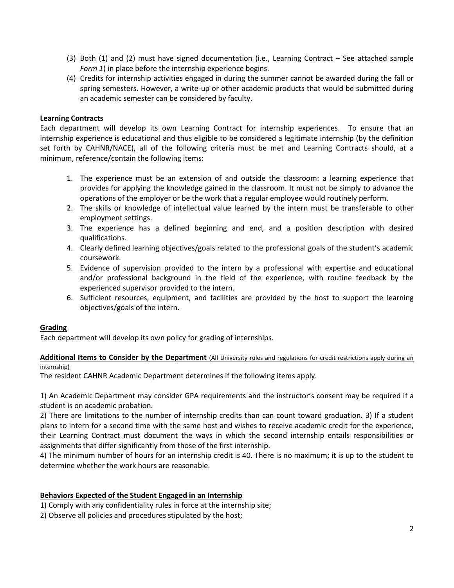- (3) Both (1) and (2) must have signed documentation (i.e., Learning Contract See attached sample *Form 1*) in place before the internship experience begins.
- (4) Credits for internship activities engaged in during the summer cannot be awarded during the fall or spring semesters. However, a write-up or other academic products that would be submitted during an academic semester can be considered by faculty.

#### **Learning Contracts**

Each department will develop its own Learning Contract for internship experiences. To ensure that an internship experience is educational and thus eligible to be considered a legitimate internship (by the definition set forth by CAHNR/NACE), all of the following criteria must be met and Learning Contracts should, at a minimum, reference/contain the following items:

- 1. The experience must be an extension of and outside the classroom: a learning experience that provides for applying the knowledge gained in the classroom. It must not be simply to advance the operations of the employer or be the work that a regular employee would routinely perform.
- 2. The skills or knowledge of intellectual value learned by the intern must be transferable to other employment settings.
- 3. The experience has a defined beginning and end, and a position description with desired qualifications.
- 4. Clearly defined learning objectives/goals related to the professional goals of the student's academic coursework.
- 5. Evidence of supervision provided to the intern by a professional with expertise and educational and/or professional background in the field of the experience, with routine feedback by the experienced supervisor provided to the intern.
- 6. Sufficient resources, equipment, and facilities are provided by the host to support the learning objectives/goals of the intern.

#### **Grading**

Each department will develop its own policy for grading of internships.

#### **Additional Items to Consider by the Department** (All University rules and regulations for credit restrictions apply during an internship)

The resident CAHNR Academic Department determines if the following items apply.

1) An Academic Department may consider GPA requirements and the instructor's consent may be required if a student is on academic probation.

2) There are limitations to the number of internship credits than can count toward graduation. 3) If a student plans to intern for a second time with the same host and wishes to receive academic credit for the experience, their Learning Contract must document the ways in which the second internship entails responsibilities or assignments that differ significantly from those of the first internship.

4) The minimum number of hours for an internship credit is 40. There is no maximum; it is up to the student to determine whether the work hours are reasonable.

#### **Behaviors Expected of the Student Engaged in an Internship**

1) Comply with any confidentiality rules in force at the internship site;

2) Observe all policies and procedures stipulated by the host;